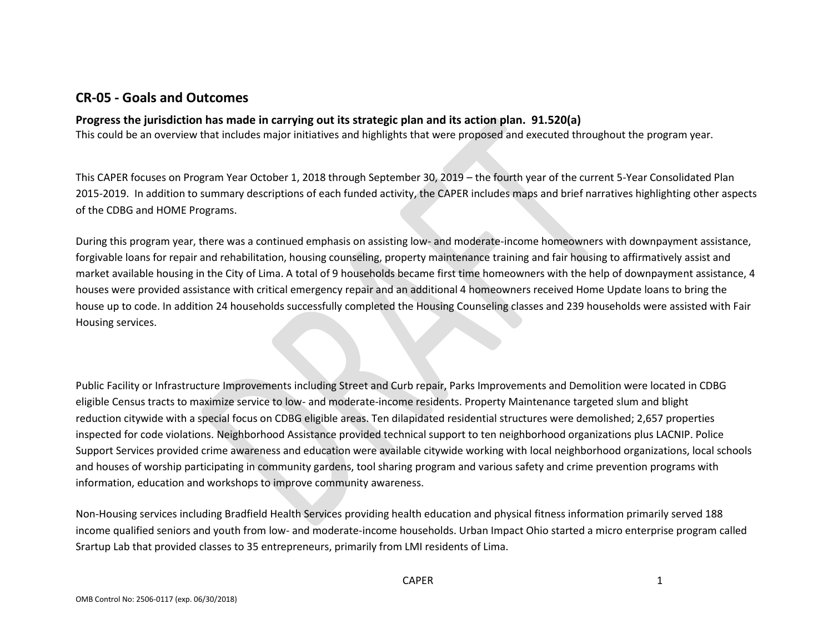## **CR-05 - Goals and Outcomes**

### **Progress the jurisdiction has made in carrying out its strategic plan and its action plan. 91.520(a)**

This could be an overview that includes major initiatives and highlights that were proposed and executed throughout the program year.

This CAPER focuses on Program Year October 1, 2018 through September 30, 2019 – the fourth year of the current 5-Year Consolidated Plan 2015-2019. In addition to summary descriptions of each funded activity, the CAPER includes maps and brief narratives highlighting other aspects of the CDBG and HOME Programs.

During this program year, there was a continued emphasis on assisting low- and moderate-income homeowners with downpayment assistance, forgivable loans for repair and rehabilitation, housing counseling, property maintenance training and fair housing to affirmatively assist and market available housing in the City of Lima. A total of 9 households became first time homeowners with the help of downpayment assistance, 4 houses were provided assistance with critical emergency repair and an additional 4 homeowners received Home Update loans to bring the house up to code. In addition 24 households successfully completed the Housing Counseling classes and 239 households were assisted with Fair Housing services.

Public Facility or Infrastructure Improvements including Street and Curb repair, Parks Improvements and Demolition were located in CDBG eligible Census tracts to maximize service to low- and moderate-income residents. Property Maintenance targeted slum and blight reduction citywide with a special focus on CDBG eligible areas. Ten dilapidated residential structures were demolished; 2,657 properties inspected for code violations. Neighborhood Assistance provided technical support to ten neighborhood organizations plus LACNIP. Police Support Services provided crime awareness and education were available citywide working with local neighborhood organizations, local schools and houses of worship participating in community gardens, tool sharing program and various safety and crime prevention programs with information, education and workshops to improve community awareness.

Non-Housing services including Bradfield Health Services providing health education and physical fitness information primarily served 188 income qualified seniors and youth from low- and moderate-income households. Urban Impact Ohio started a micro enterprise program called Srartup Lab that provided classes to 35 entrepreneurs, primarily from LMI residents of Lima.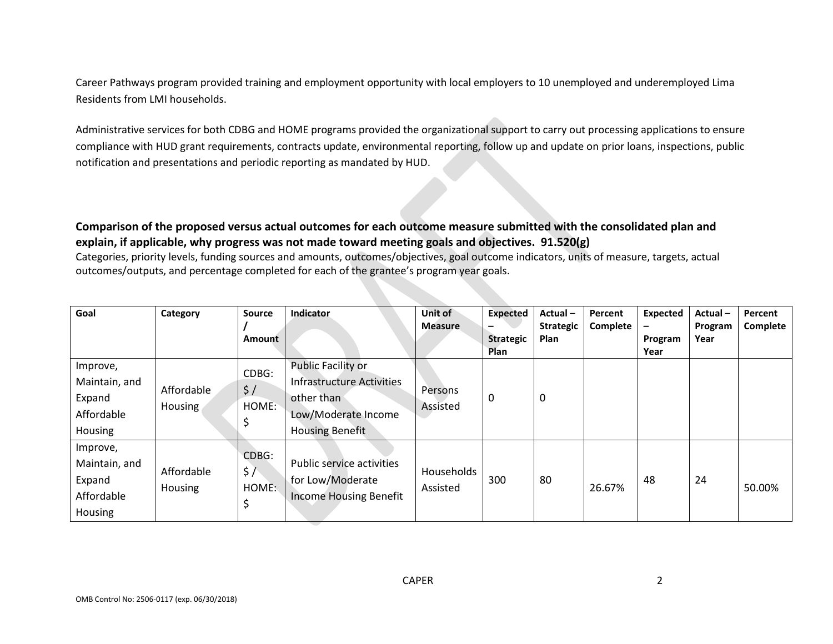Career Pathways program provided training and employment opportunity with local employers to 10 unemployed and underemployed Lima Residents from LMI households.

Administrative services for both CDBG and HOME programs provided the organizational support to carry out processing applications to ensure compliance with HUD grant requirements, contracts update, environmental reporting, follow up and update on prior loans, inspections, public notification and presentations and periodic reporting as mandated by HUD.

### **Comparison of the proposed versus actual outcomes for each outcome measure submitted with the consolidated plan and explain, if applicable, why progress was not made toward meeting goals and objectives. 91.520(g)**

Categories, priority levels, funding sources and amounts, outcomes/objectives, goal outcome indicators, units of measure, targets, actual outcomes/outputs, and percentage completed for each of the grantee's program year goals.

| Goal           | Category       | <b>Source</b> | Indicator                        | Unit of        | <b>Expected</b>                 | Actual-          | Percent  | Expected        | Actual- | Percent  |
|----------------|----------------|---------------|----------------------------------|----------------|---------------------------------|------------------|----------|-----------------|---------|----------|
|                |                |               |                                  | <b>Measure</b> |                                 | <b>Strategic</b> | Complete |                 | Program | Complete |
|                |                | Amount        |                                  |                | <b>Strategic</b><br><b>Plan</b> | Plan             |          | Program<br>Year | Year    |          |
| Improve,       |                | CDBG:         | <b>Public Facility or</b>        |                |                                 |                  |          |                 |         |          |
| Maintain, and  | Affordable     | $\frac{1}{2}$ | <b>Infrastructure Activities</b> |                |                                 |                  |          |                 |         |          |
| Expand         |                | HOME:         | other than                       | Persons        | 0                               | $\boldsymbol{0}$ |          |                 |         |          |
| Affordable     | Housing        |               | Low/Moderate Income              | Assisted       |                                 |                  |          |                 |         |          |
| Housing        |                |               | <b>Housing Benefit</b>           |                |                                 |                  |          |                 |         |          |
| Improve,       |                | CDBG:         |                                  |                |                                 |                  |          |                 |         |          |
| Maintain, and  | Affordable     | \$7           | Public service activities        | Households     |                                 |                  |          |                 |         |          |
| Expand         | <b>Housing</b> | HOME:         | for Low/Moderate                 | Assisted       | 300                             | 80               | 26.67%   | 48              | 24      | 50.00%   |
| Affordable     |                |               | <b>Income Housing Benefit</b>    |                |                                 |                  |          |                 |         |          |
| <b>Housing</b> |                |               |                                  |                |                                 |                  |          |                 |         |          |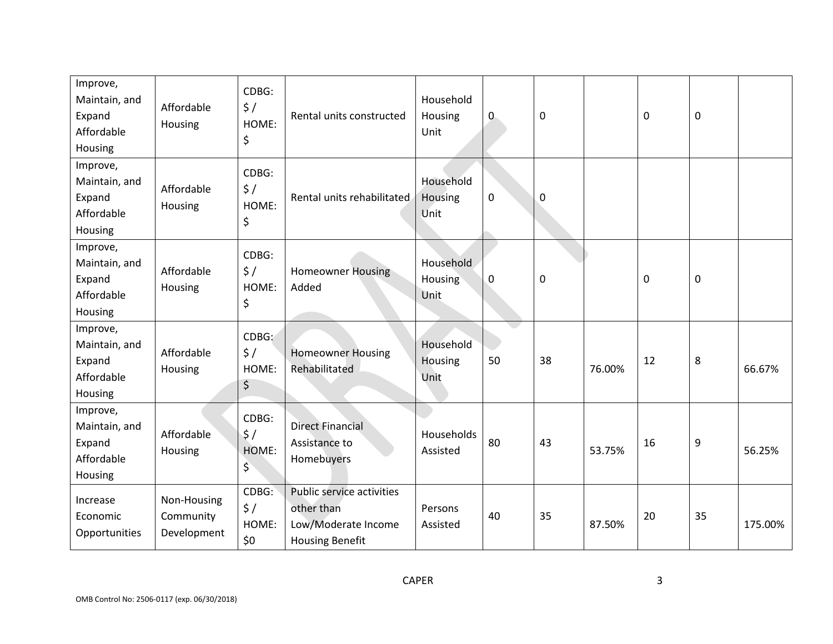| Improve,<br>Maintain, and<br>Expand<br>Affordable<br>Housing | Affordable<br>Housing                   | CDBG:<br>$\frac{1}{2}$<br>HOME:<br>\$  | Rental units constructed                                                                 | Household<br>Housing<br>Unit | $\mathbf 0$  | $\mathbf 0$ |        | $\mathbf 0$ | $\mathbf 0$      |         |
|--------------------------------------------------------------|-----------------------------------------|----------------------------------------|------------------------------------------------------------------------------------------|------------------------------|--------------|-------------|--------|-------------|------------------|---------|
| Improve,<br>Maintain, and<br>Expand<br>Affordable<br>Housing | Affordable<br>Housing                   | CDBG:<br>$\frac{1}{2}$<br>HOME:<br>\$  | Rental units rehabilitated                                                               | Household<br>Housing<br>Unit | $\mathbf{0}$ | $\mathbf 0$ |        |             |                  |         |
| Improve,<br>Maintain, and<br>Expand<br>Affordable<br>Housing | Affordable<br>Housing                   | CDBG:<br>$\frac{1}{2}$<br>HOME:<br>\$  | <b>Homeowner Housing</b><br>Added                                                        | Household<br>Housing<br>Unit | $\mathbf 0$  | $\mathbf 0$ |        | $\mathbf 0$ | $\boldsymbol{0}$ |         |
| Improve,<br>Maintain, and<br>Expand<br>Affordable<br>Housing | Affordable<br>Housing                   | CDBG:<br>$\frac{1}{2}$<br>HOME:<br>\$  | <b>Homeowner Housing</b><br>Rehabilitated                                                | Household<br>Housing<br>Unit | 50           | 38          | 76.00% | 12          | 8                | 66.67%  |
| Improve,<br>Maintain, and<br>Expand<br>Affordable<br>Housing | Affordable<br>Housing                   | CDBG:<br>$\frac{1}{2}$<br>HOME:<br>\$  | <b>Direct Financial</b><br>Assistance to<br>Homebuyers                                   | Households<br>Assisted       | 80           | 43          | 53.75% | 16          | 9                | 56.25%  |
| Increase<br>Economic<br>Opportunities                        | Non-Housing<br>Community<br>Development | CDBG:<br>$\frac{1}{2}$<br>HOME:<br>\$0 | Public service activities<br>other than<br>Low/Moderate Income<br><b>Housing Benefit</b> | Persons<br>Assisted          | 40           | 35          | 87.50% | 20          | 35               | 175.00% |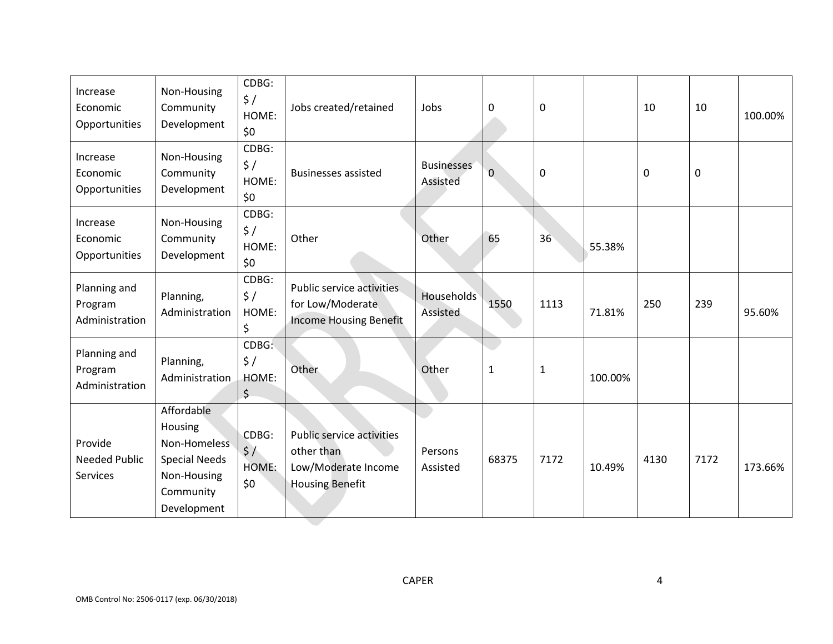| Increase<br>Economic<br>Opportunities       | Non-Housing<br>Community<br>Development                                                                  | CDBG:<br>\$/<br>HOME:<br>\$0               | Jobs created/retained                                                                    | Jobs                                 | 0            | $\mathbf 0$  |         | 10   | 10          | 100.00% |
|---------------------------------------------|----------------------------------------------------------------------------------------------------------|--------------------------------------------|------------------------------------------------------------------------------------------|--------------------------------------|--------------|--------------|---------|------|-------------|---------|
| Increase<br>Economic<br>Opportunities       | Non-Housing<br>Community<br>Development                                                                  | CDBG:<br>$\frac{1}{2}$<br>HOME:<br>\$0     | <b>Businesses assisted</b>                                                               | <b>Businesses</b><br><b>Assisted</b> | 0            | $\mathbf 0$  |         | 0    | $\mathbf 0$ |         |
| Increase<br>Economic<br>Opportunities       | Non-Housing<br>Community<br>Development                                                                  | CDBG:<br>$\frac{1}{2}$<br>HOME:<br>\$0     | Other                                                                                    | Other                                | 65           | 36           | 55.38%  |      |             |         |
| Planning and<br>Program<br>Administration   | Planning,<br>Administration                                                                              | CDBG:<br>$\frac{1}{2}$<br>HOME:<br>\$      | Public service activities.<br>for Low/Moderate<br><b>Income Housing Benefit</b>          | Households<br>Assisted               | 1550         | 1113         | 71.81%  | 250  | 239         | 95.60%  |
| Planning and<br>Program<br>Administration   | Planning,<br>Administration                                                                              | CDBG:<br>$\frac{1}{2}$<br>HOME:<br>$\zeta$ | Other                                                                                    | Other                                | $\mathbf{1}$ | $\mathbf{1}$ | 100.00% |      |             |         |
| Provide<br><b>Needed Public</b><br>Services | Affordable<br>Housing<br>Non-Homeless<br><b>Special Needs</b><br>Non-Housing<br>Community<br>Development | CDBG:<br>$\frac{1}{2}$<br>HOME:<br>\$0     | Public service activities<br>other than<br>Low/Moderate Income<br><b>Housing Benefit</b> | Persons<br>Assisted                  | 68375        | 7172         | 10.49%  | 4130 | 7172        | 173.66% |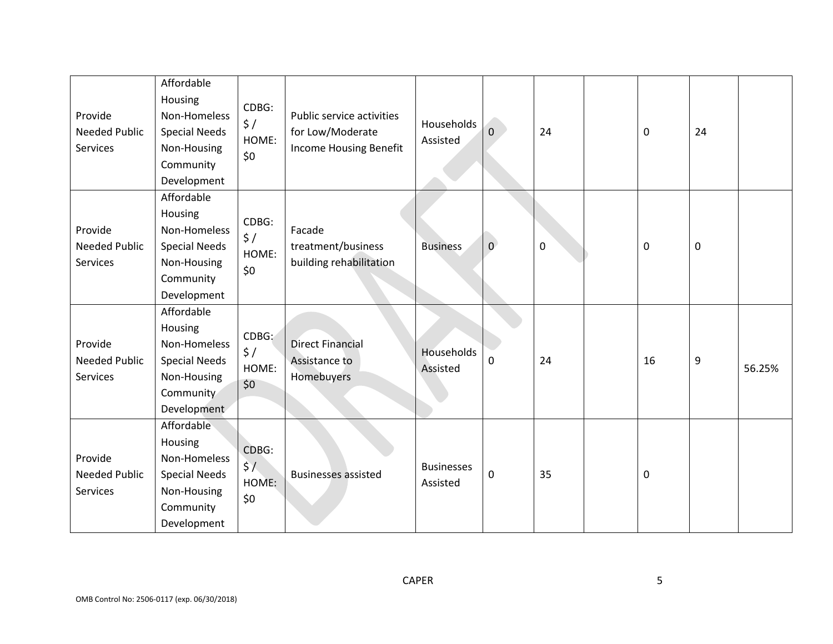| Provide<br><b>Needed Public</b><br>Services | Affordable<br>Housing<br>Non-Homeless<br><b>Special Needs</b><br>Non-Housing<br>Community<br>Development | CDBG:<br>\$/<br>HOME:<br>\$0             | Public service activities<br>for Low/Moderate<br>Income Housing Benefit | Households<br>Assisted        | $\overline{0}$ | 24        | 0  | 24               |        |
|---------------------------------------------|----------------------------------------------------------------------------------------------------------|------------------------------------------|-------------------------------------------------------------------------|-------------------------------|----------------|-----------|----|------------------|--------|
| Provide<br><b>Needed Public</b><br>Services | Affordable<br>Housing<br>Non-Homeless<br><b>Special Needs</b><br>Non-Housing<br>Community<br>Development | CDBG:<br>$\frac{1}{2}$<br>HOME:<br>\$0   | Facade<br>treatment/business<br>building rehabilitation                 | <b>Business</b>               | $\overline{0}$ | $\pmb{0}$ | 0  | $\boldsymbol{0}$ |        |
| Provide<br><b>Needed Public</b><br>Services | Affordable<br>Housing<br>Non-Homeless<br><b>Special Needs</b><br>Non-Housing<br>Community<br>Development | CDBG:<br>$\frac{1}{2}$ /<br>HOME:<br>\$0 | <b>Direct Financial</b><br>Assistance to<br>Homebuyers                  | Households<br>Assisted        | 0              | 24        | 16 | $\overline{9}$   | 56.25% |
| Provide<br><b>Needed Public</b><br>Services | Affordable<br>Housing<br>Non-Homeless<br><b>Special Needs</b><br>Non-Housing<br>Community<br>Development | CDBG:<br>$\frac{1}{2}$<br>HOME:<br>\$0   | <b>Businesses assisted</b>                                              | <b>Businesses</b><br>Assisted | $\pmb{0}$      | 35        | 0  |                  |        |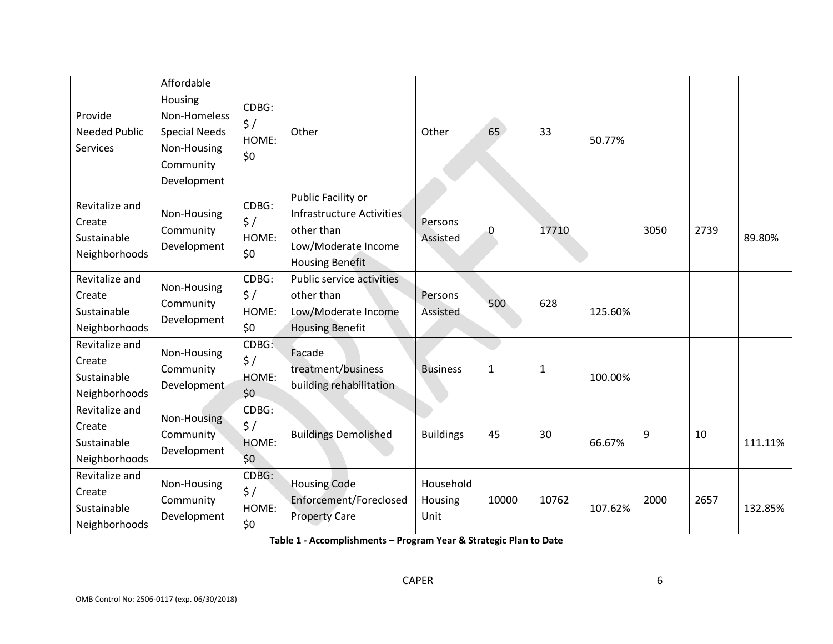| Provide<br><b>Needed Public</b><br>Services              | Affordable<br>Housing<br>Non-Homeless<br><b>Special Needs</b><br>Non-Housing<br>Community<br>Development | CDBG:<br>$\frac{1}{2}$<br>HOME:<br>\$0 | Other                                                                                                          | Other                        | 65           | 33           | 50.77%  |      |      |         |
|----------------------------------------------------------|----------------------------------------------------------------------------------------------------------|----------------------------------------|----------------------------------------------------------------------------------------------------------------|------------------------------|--------------|--------------|---------|------|------|---------|
| Revitalize and<br>Create<br>Sustainable<br>Neighborhoods | Non-Housing<br>Community<br>Development                                                                  | CDBG:<br>$\frac{1}{2}$<br>HOME:<br>\$0 | Public Facility or<br>Infrastructure Activities<br>other than<br>Low/Moderate Income<br><b>Housing Benefit</b> | Persons<br>Assisted          | 0            | 17710        |         | 3050 | 2739 | 89.80%  |
| Revitalize and<br>Create<br>Sustainable<br>Neighborhoods | Non-Housing<br>Community<br>Development                                                                  | CDBG:<br>$\frac{1}{2}$<br>HOME:<br>\$0 | Public service activities<br>other than<br>Low/Moderate Income<br><b>Housing Benefit</b>                       | Persons<br>Assisted          | 500          | 628          | 125.60% |      |      |         |
| Revitalize and<br>Create<br>Sustainable<br>Neighborhoods | Non-Housing<br>Community<br>Development                                                                  | CDBG:<br>$\frac{1}{2}$<br>HOME:<br>\$0 | Facade<br>treatment/business<br>building rehabilitation                                                        | <b>Business</b>              | $\mathbf{1}$ | $\mathbf{1}$ | 100.00% |      |      |         |
| Revitalize and<br>Create<br>Sustainable<br>Neighborhoods | Non-Housing<br>Community<br>Development                                                                  | CDBG:<br>$\frac{1}{2}$<br>HOME:<br>\$0 | <b>Buildings Demolished</b>                                                                                    | <b>Buildings</b>             | 45           | 30           | 66.67%  | 9    | 10   | 111.11% |
| Revitalize and<br>Create<br>Sustainable<br>Neighborhoods | Non-Housing<br>Community<br>Development                                                                  | CDBG:<br>$\frac{1}{2}$<br>HOME:<br>\$0 | <b>Housing Code</b><br>Enforcement/Foreclosed<br><b>Property Care</b>                                          | Household<br>Housing<br>Unit | 10000        | 10762        | 107.62% | 2000 | 2657 | 132.85% |

**Table 1 - Accomplishments – Program Year & Strategic Plan to Date**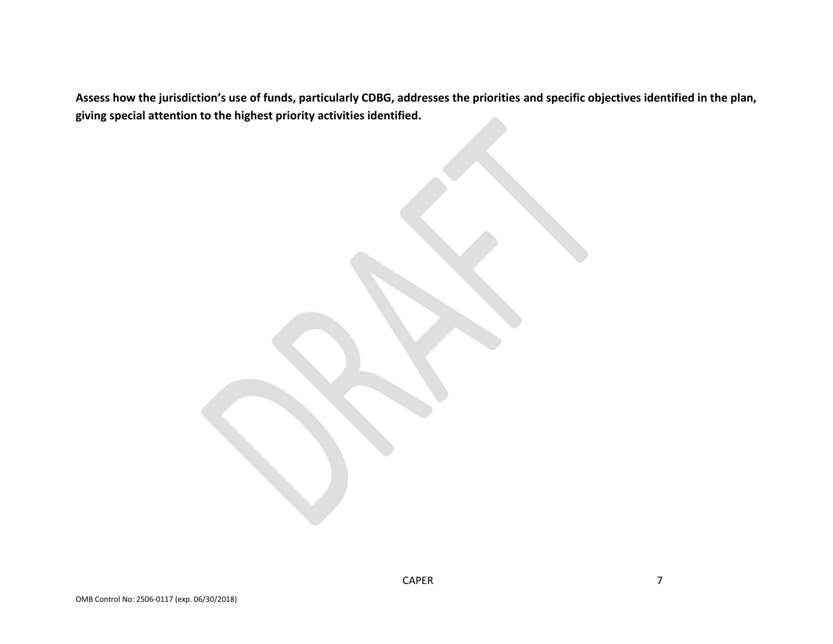**Assess how the jurisdiction's use of funds, particularly CDBG, addresses the priorities and specific objectives identified in the plan, giving special attention to the highest priority activities identified.**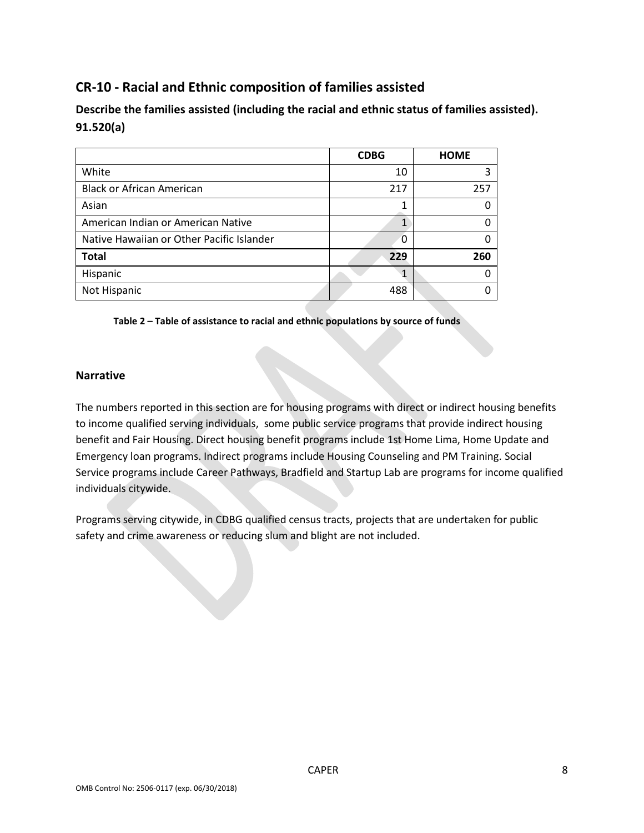# **CR-10 - Racial and Ethnic composition of families assisted**

**Describe the families assisted (including the racial and ethnic status of families assisted). 91.520(a)** 

|                                           | <b>CDBG</b> | <b>HOME</b> |
|-------------------------------------------|-------------|-------------|
| White                                     | 10          |             |
| <b>Black or African American</b>          | 217         | 257         |
| Asian                                     |             | n           |
| American Indian or American Native        |             | ∩           |
| Native Hawaiian or Other Pacific Islander | 0           | ∩           |
| <b>Total</b>                              | 229         | 260         |
| Hispanic                                  |             |             |
| Not Hispanic                              | 488         |             |

**Table 2 – Table of assistance to racial and ethnic populations by source of funds**

### **Narrative**

The numbers reported in this section are for housing programs with direct or indirect housing benefits to income qualified serving individuals, some public service programs that provide indirect housing benefit and Fair Housing. Direct housing benefit programs include 1st Home Lima, Home Update and Emergency loan programs. Indirect programs include Housing Counseling and PM Training. Social Service programs include Career Pathways, Bradfield and Startup Lab are programs for income qualified individuals citywide.

Programs serving citywide, in CDBG qualified census tracts, projects that are undertaken for public safety and crime awareness or reducing slum and blight are not included.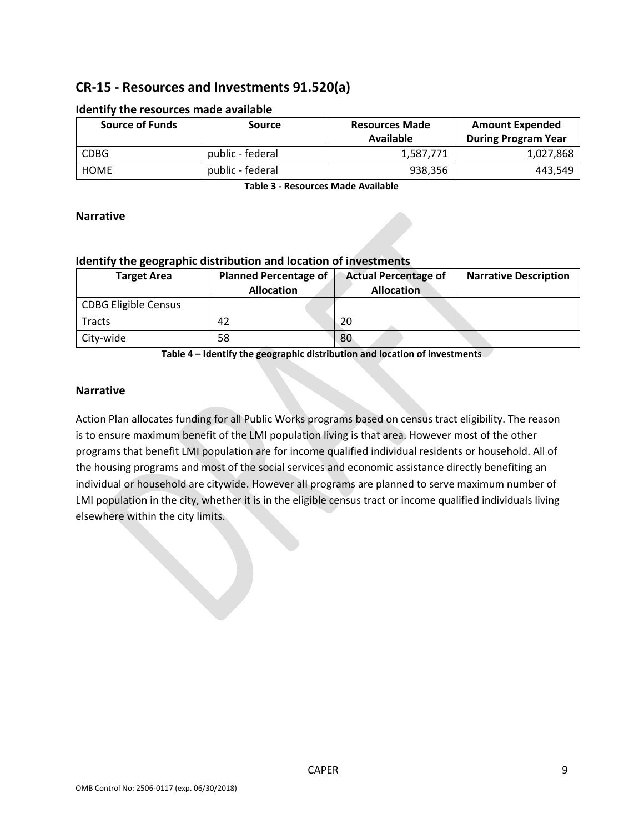# **CR-15 - Resources and Investments 91.520(a)**

| <b>Source of Funds</b> | <b>Source</b>    | <b>Resources Made</b><br>Available | <b>Amount Expended</b><br><b>During Program Year</b> |
|------------------------|------------------|------------------------------------|------------------------------------------------------|
| <b>CDBG</b>            | public - federal | 1,587,771                          | 1,027,868                                            |
| <b>HOME</b>            | public - federal | 938,356                            | 443,549                                              |

#### **Identify the resources made available**

**Table 3 - Resources Made Available**

### **Narrative**

### **Identify the geographic distribution and location of investments**

| <b>Target Area</b>          | <b>Planned Percentage of</b><br><b>Allocation</b> | <b>Actual Percentage of</b><br><b>Allocation</b> | <b>Narrative Description</b> |
|-----------------------------|---------------------------------------------------|--------------------------------------------------|------------------------------|
| <b>CDBG Eligible Census</b> |                                                   |                                                  |                              |
| Tracts                      | 42                                                | 20                                               |                              |
| City-wide                   | 58                                                | 80                                               |                              |

**Table 4 – Identify the geographic distribution and location of investments**

### **Narrative**

Action Plan allocates funding for all Public Works programs based on census tract eligibility. The reason is to ensure maximum benefit of the LMI population living is that area. However most of the other programs that benefit LMI population are for income qualified individual residents or household. All of the housing programs and most of the social services and economic assistance directly benefiting an individual or household are citywide. However all programs are planned to serve maximum number of LMI population in the city, whether it is in the eligible census tract or income qualified individuals living elsewhere within the city limits.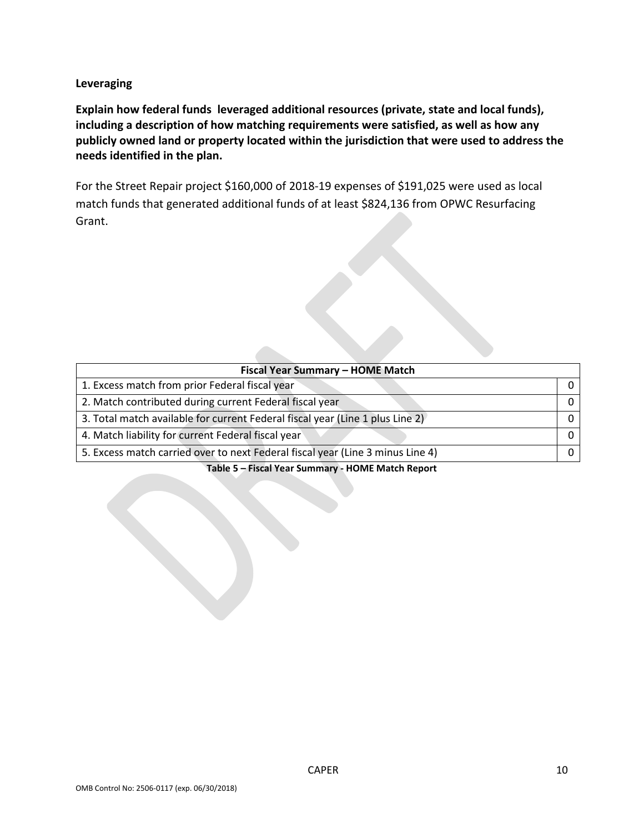**Leveraging**

**Explain how federal funds leveraged additional resources (private, state and local funds), including a description of how matching requirements were satisfied, as well as how any publicly owned land or property located within the jurisdiction that were used to address the needs identified in the plan.**

For the Street Repair project \$160,000 of 2018-19 expenses of \$191,025 were used as local match funds that generated additional funds of at least \$824,136 from OPWC Resurfacing Grant.

| Fiscal Year Summary - HOME Match                                               |  |  |  |  |  |  |
|--------------------------------------------------------------------------------|--|--|--|--|--|--|
| 1. Excess match from prior Federal fiscal year                                 |  |  |  |  |  |  |
| 2. Match contributed during current Federal fiscal year                        |  |  |  |  |  |  |
| 3. Total match available for current Federal fiscal year (Line 1 plus Line 2)  |  |  |  |  |  |  |
| 4. Match liability for current Federal fiscal year                             |  |  |  |  |  |  |
| 5. Excess match carried over to next Federal fiscal year (Line 3 minus Line 4) |  |  |  |  |  |  |

**Table 5 – Fiscal Year Summary - HOME Match Report**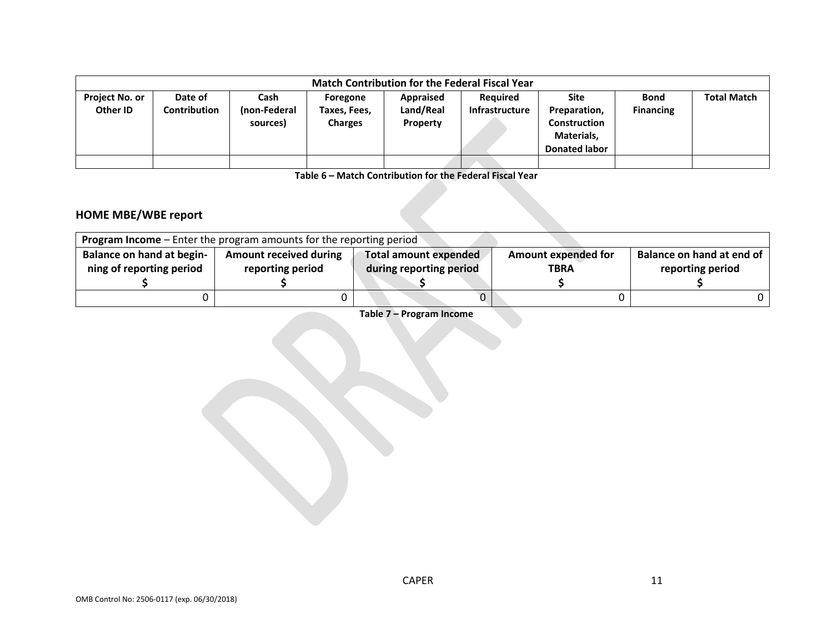|                                   | <b>Match Contribution for the Federal Fiscal Year</b> |                                  |                                            |                                    |                                          |                                                                                   |                                 |                    |  |
|-----------------------------------|-------------------------------------------------------|----------------------------------|--------------------------------------------|------------------------------------|------------------------------------------|-----------------------------------------------------------------------------------|---------------------------------|--------------------|--|
| <b>Project No. or</b><br>Other ID | Date of<br>Contribution                               | Cash<br>(non-Federal<br>sources) | Foregone<br>Taxes, Fees,<br><b>Charges</b> | Appraised<br>Land/Real<br>Property | <b>Required</b><br><b>Infrastructure</b> | Site<br>Preparation,<br><b>Construction</b><br>Materials,<br><b>Donated labor</b> | <b>Bond</b><br><b>Financing</b> | <b>Total Match</b> |  |
|                                   |                                                       |                                  |                                            |                                    |                                          |                                                                                   |                                 |                    |  |

**Table 6 – Match Contribution for the Federal Fiscal Year**

# **HOME MBE/WBE report**

|                                  | <b>Program Income</b> – Enter the program amounts for the reporting period |                         |                            |                           |  |  |  |  |  |  |
|----------------------------------|----------------------------------------------------------------------------|-------------------------|----------------------------|---------------------------|--|--|--|--|--|--|
| <b>Balance on hand at begin-</b> | <b>Amount received during</b>                                              | Total amount expended   | <b>Amount expended for</b> | Balance on hand at end of |  |  |  |  |  |  |
| ning of reporting period         | reporting period                                                           | during reporting period | <b>TBRA</b>                | reporting period          |  |  |  |  |  |  |
|                                  |                                                                            |                         |                            |                           |  |  |  |  |  |  |
|                                  |                                                                            |                         |                            |                           |  |  |  |  |  |  |

**Table 7 – Program Income**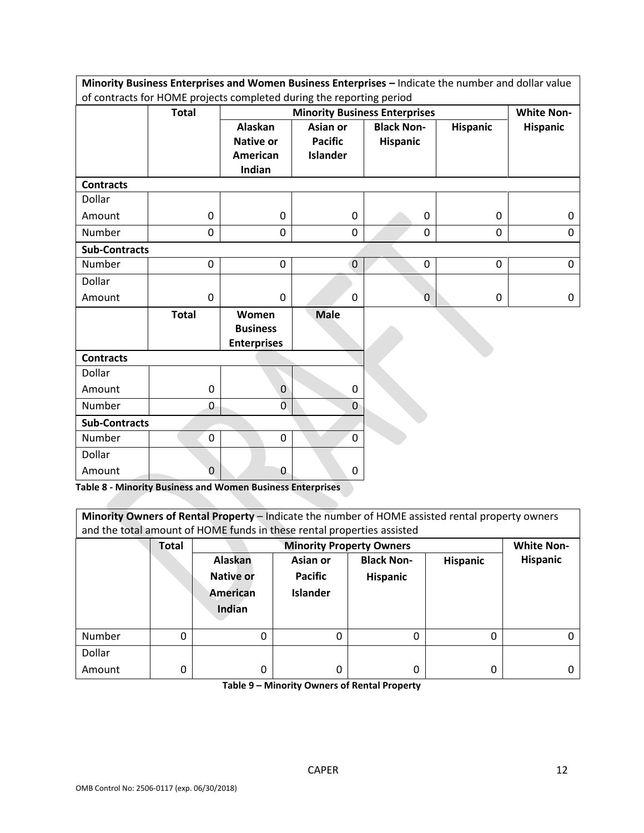|                      | Minority Business Enterprises and Women Business Enterprises - Indicate the number and dollar value |                    |                 |                                      |                 |                   |
|----------------------|-----------------------------------------------------------------------------------------------------|--------------------|-----------------|--------------------------------------|-----------------|-------------------|
|                      | of contracts for HOME projects completed during the reporting period                                |                    |                 |                                      |                 |                   |
|                      | <b>Total</b>                                                                                        |                    |                 | <b>Minority Business Enterprises</b> |                 | <b>White Non-</b> |
|                      |                                                                                                     | <b>Alaskan</b>     | Asian or        | <b>Black Non-</b>                    | <b>Hispanic</b> | <b>Hispanic</b>   |
|                      |                                                                                                     | <b>Native or</b>   | <b>Pacific</b>  | <b>Hispanic</b>                      |                 |                   |
|                      |                                                                                                     | <b>American</b>    | <b>Islander</b> |                                      |                 |                   |
|                      |                                                                                                     | Indian             |                 |                                      |                 |                   |
| <b>Contracts</b>     |                                                                                                     |                    |                 |                                      |                 |                   |
| Dollar               |                                                                                                     |                    |                 |                                      |                 |                   |
| Amount               | 0                                                                                                   | 0                  | $\mathbf 0$     | $\mathbf 0$                          | 0               | 0                 |
| Number               | 0                                                                                                   | 0                  | 0               | $\mathbf 0$                          | $\mathbf 0$     | $\mathbf 0$       |
| <b>Sub-Contracts</b> |                                                                                                     |                    |                 |                                      |                 |                   |
| Number               | 0                                                                                                   | $\mathbf 0$        | $\overline{0}$  | 0                                    | 0               | 0                 |
| Dollar               |                                                                                                     |                    |                 |                                      |                 |                   |
| Amount               | 0                                                                                                   | 0                  | 0               | $\mathbf 0$                          | 0               | 0                 |
|                      | <b>Total</b>                                                                                        | Women              | <b>Male</b>     |                                      |                 |                   |
|                      |                                                                                                     | <b>Business</b>    |                 |                                      |                 |                   |
|                      |                                                                                                     | <b>Enterprises</b> |                 |                                      |                 |                   |
| <b>Contracts</b>     |                                                                                                     |                    |                 |                                      |                 |                   |
| Dollar               |                                                                                                     |                    |                 |                                      |                 |                   |
| Amount               | $\mathbf 0$                                                                                         | $\mathbf{0}$       | 0               |                                      |                 |                   |
| Number               | 0                                                                                                   | $\overline{0}$     | $\overline{0}$  |                                      |                 |                   |
| <b>Sub-Contracts</b> |                                                                                                     |                    |                 |                                      |                 |                   |
| Number               | 0                                                                                                   | $\mathbf 0$        | $\overline{0}$  |                                      |                 |                   |
| Dollar               |                                                                                                     |                    |                 |                                      |                 |                   |
| Amount               | 0                                                                                                   | 0                  | 0               |                                      |                 |                   |

**Table 8 - Minority Business and Women Business Enterprises**

| Minority Owners of Rental Property - Indicate the number of HOME assisted rental property owners<br>and the total amount of HOME funds in these rental properties assisted |              |                                 |                 |                   |                 |                   |
|----------------------------------------------------------------------------------------------------------------------------------------------------------------------------|--------------|---------------------------------|-----------------|-------------------|-----------------|-------------------|
|                                                                                                                                                                            | <b>Total</b> | <b>Minority Property Owners</b> |                 |                   |                 | <b>White Non-</b> |
|                                                                                                                                                                            |              | <b>Alaskan</b>                  | Asian or        | <b>Black Non-</b> | <b>Hispanic</b> | <b>Hispanic</b>   |
|                                                                                                                                                                            |              | <b>Native or</b>                | <b>Pacific</b>  | <b>Hispanic</b>   |                 |                   |
|                                                                                                                                                                            |              | American                        | <b>Islander</b> |                   |                 |                   |
|                                                                                                                                                                            |              | Indian                          |                 |                   |                 |                   |
| Number                                                                                                                                                                     | 0            | 0                               |                 | 0                 | 0               |                   |
| Dollar                                                                                                                                                                     |              |                                 |                 |                   |                 |                   |
| Amount                                                                                                                                                                     | 0            | 0                               |                 | 0                 | 0               |                   |

**Table 9 – Minority Owners of Rental Property**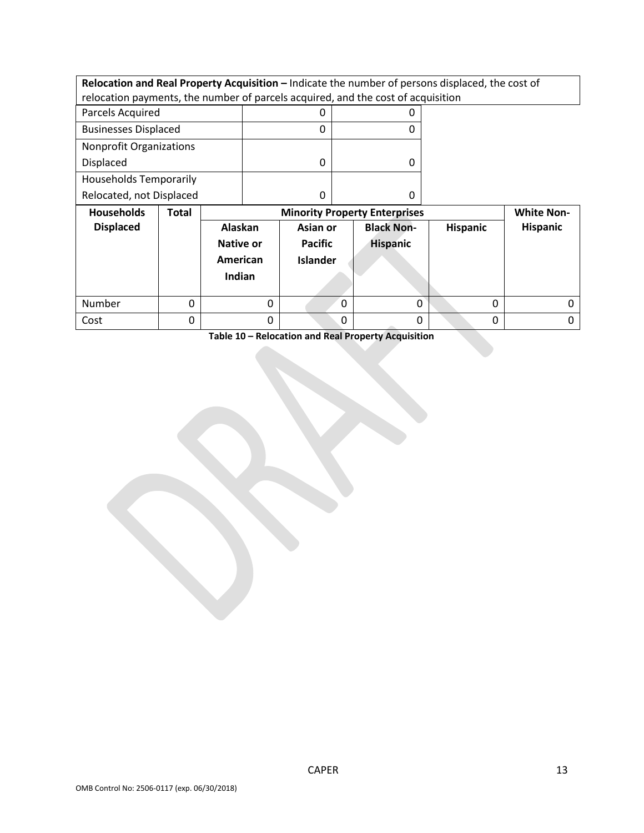**Relocation and Real Property Acquisition – Indicate the number of persons displaced, the cost of** relocation payments, the number of parcels acquired, and the cost of acquisition

| the control de                 |  |
|--------------------------------|--|
| Relocated, not Displaced       |  |
| <b>Households Temporarily</b>  |  |
| Displaced                      |  |
| <b>Nonprofit Organizations</b> |  |
| <b>Businesses Displaced</b>    |  |
| Parcels Acquired               |  |

| <b>Households</b> | <b>Total</b><br><b>Minority Property Enterprises</b> |                                                   |                                               |                                      |                 | <b>White Non-</b> |  |
|-------------------|------------------------------------------------------|---------------------------------------------------|-----------------------------------------------|--------------------------------------|-----------------|-------------------|--|
| <b>Displaced</b>  |                                                      | Alaskan<br><b>Native or</b><br>American<br>Indian | Asian or<br><b>Pacific</b><br><b>Islander</b> | <b>Black Non-</b><br><b>Hispanic</b> | <b>Hispanic</b> | Hispanic          |  |
| Number            |                                                      |                                                   | $\Omega$                                      |                                      | 0               |                   |  |
| Cost              |                                                      |                                                   | 0                                             |                                      | 0               |                   |  |

**Table 10 – Relocation and Real Property Acquisition**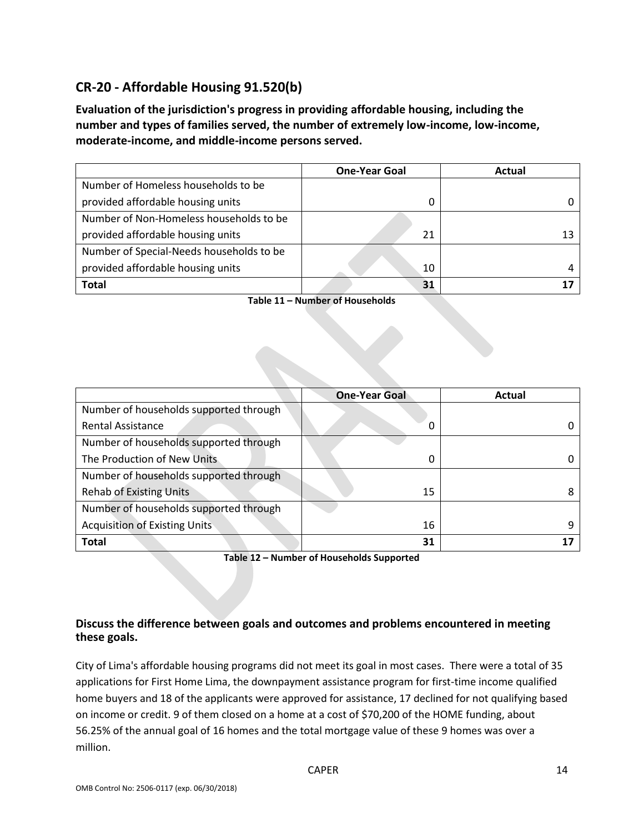# **CR-20 - Affordable Housing 91.520(b)**

**Evaluation of the jurisdiction's progress in providing affordable housing, including the number and types of families served, the number of extremely low-income, low-income, moderate-income, and middle-income persons served.**

|                                          | <b>One-Year Goal</b> | Actual |
|------------------------------------------|----------------------|--------|
| Number of Homeless households to be      |                      |        |
| provided affordable housing units        | 0                    |        |
| Number of Non-Homeless households to be  |                      |        |
| provided affordable housing units        | 21                   |        |
| Number of Special-Needs households to be |                      |        |
| provided affordable housing units        | 10                   |        |
| Total                                    | 31                   |        |

**Table 11 – Number of Households**

|                                        | <b>One-Year Goal</b> | Actual |
|----------------------------------------|----------------------|--------|
| Number of households supported through |                      |        |
| <b>Rental Assistance</b>               | 0                    |        |
| Number of households supported through |                      |        |
| The Production of New Units            | 0                    |        |
| Number of households supported through |                      |        |
| <b>Rehab of Existing Units</b>         | 15                   |        |
| Number of households supported through |                      |        |
| <b>Acquisition of Existing Units</b>   | 16                   |        |
| <b>Total</b>                           | 31                   |        |

**Table 12 – Number of Households Supported**

### **Discuss the difference between goals and outcomes and problems encountered in meeting these goals.**

City of Lima's affordable housing programs did not meet its goal in most cases. There were a total of 35 applications for First Home Lima, the downpayment assistance program for first-time income qualified home buyers and 18 of the applicants were approved for assistance, 17 declined for not qualifying based on income or credit. 9 of them closed on a home at a cost of \$70,200 of the HOME funding, about 56.25% of the annual goal of 16 homes and the total mortgage value of these 9 homes was over a million.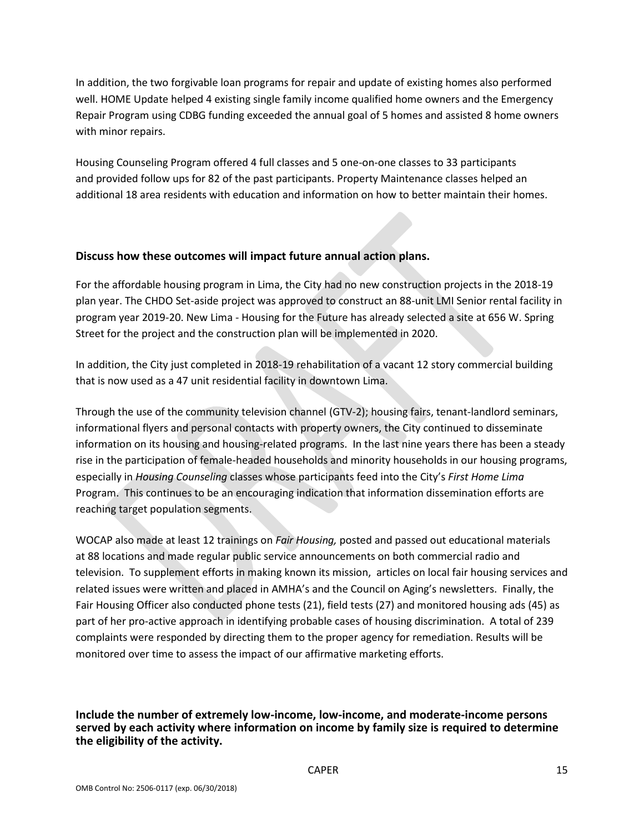In addition, the two forgivable loan programs for repair and update of existing homes also performed well. HOME Update helped 4 existing single family income qualified home owners and the Emergency Repair Program using CDBG funding exceeded the annual goal of 5 homes and assisted 8 home owners with minor repairs.

Housing Counseling Program offered 4 full classes and 5 one-on-one classes to 33 participants and provided follow ups for 82 of the past participants. Property Maintenance classes helped an additional 18 area residents with education and information on how to better maintain their homes.

### **Discuss how these outcomes will impact future annual action plans.**

For the affordable housing program in Lima, the City had no new construction projects in the 2018-19 plan year. The CHDO Set-aside project was approved to construct an 88-unit LMI Senior rental facility in program year 2019-20. New Lima - Housing for the Future has already selected a site at 656 W. Spring Street for the project and the construction plan will be implemented in 2020.

In addition, the City just completed in 2018-19 rehabilitation of a vacant 12 story commercial building that is now used as a 47 unit residential facility in downtown Lima.

Through the use of the community television channel (GTV-2); housing fairs, tenant-landlord seminars, informational flyers and personal contacts with property owners, the City continued to disseminate information on its housing and housing-related programs. In the last nine years there has been a steady rise in the participation of female-headed households and minority households in our housing programs, especially in *Housing Counseling* classes whose participants feed into the City's *First Home Lima*  Program. This continues to be an encouraging indication that information dissemination efforts are reaching target population segments.

WOCAP also made at least 12 trainings on *Fair Housing,* posted and passed out educational materials at 88 locations and made regular public service announcements on both commercial radio and television. To supplement efforts in making known its mission, articles on local fair housing services and related issues were written and placed in AMHA's and the Council on Aging's newsletters. Finally, the Fair Housing Officer also conducted phone tests (21), field tests (27) and monitored housing ads (45) as part of her pro-active approach in identifying probable cases of housing discrimination. A total of 239 complaints were responded by directing them to the proper agency for remediation. Results will be monitored over time to assess the impact of our affirmative marketing efforts.

**Include the number of extremely low-income, low-income, and moderate-income persons served by each activity where information on income by family size is required to determine the eligibility of the activity.**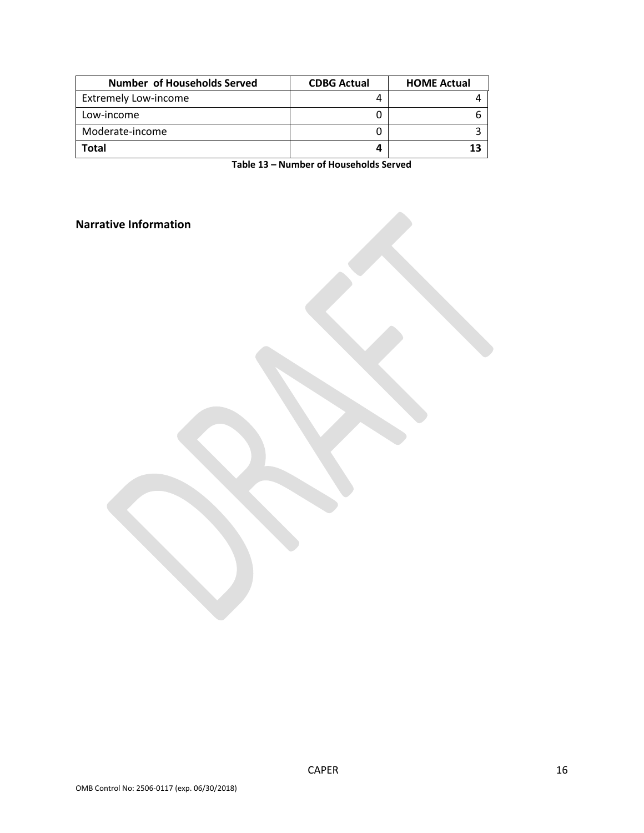| <b>Number of Households Served</b> | <b>CDBG Actual</b> | <b>HOME Actual</b> |
|------------------------------------|--------------------|--------------------|
| <b>Extremely Low-income</b>        |                    |                    |
| Low-income                         |                    |                    |
| Moderate-income                    |                    |                    |
| Total                              |                    | 13                 |

**Table 13 – Number of Households Served**

**Narrative Information**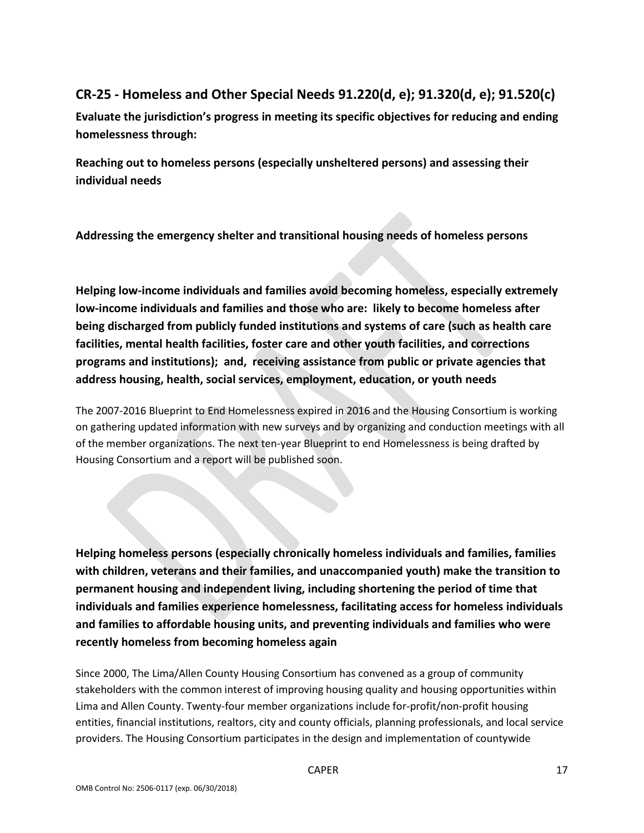# **CR-25 - Homeless and Other Special Needs 91.220(d, e); 91.320(d, e); 91.520(c)**

**Evaluate the jurisdiction's progress in meeting its specific objectives for reducing and ending homelessness through:**

**Reaching out to homeless persons (especially unsheltered persons) and assessing their individual needs**

**Addressing the emergency shelter and transitional housing needs of homeless persons**

**Helping low-income individuals and families avoid becoming homeless, especially extremely low-income individuals and families and those who are: likely to become homeless after being discharged from publicly funded institutions and systems of care (such as health care facilities, mental health facilities, foster care and other youth facilities, and corrections programs and institutions); and, receiving assistance from public or private agencies that address housing, health, social services, employment, education, or youth needs**

The 2007-2016 Blueprint to End Homelessness expired in 2016 and the Housing Consortium is working on gathering updated information with new surveys and by organizing and conduction meetings with all of the member organizations. The next ten-year Blueprint to end Homelessness is being drafted by Housing Consortium and a report will be published soon.

**Helping homeless persons (especially chronically homeless individuals and families, families with children, veterans and their families, and unaccompanied youth) make the transition to permanent housing and independent living, including shortening the period of time that individuals and families experience homelessness, facilitating access for homeless individuals and families to affordable housing units, and preventing individuals and families who were recently homeless from becoming homeless again**

Since 2000, The Lima/Allen County Housing Consortium has convened as a group of community stakeholders with the common interest of improving housing quality and housing opportunities within Lima and Allen County. Twenty-four member organizations include for-profit/non-profit housing entities, financial institutions, realtors, city and county officials, planning professionals, and local service providers. The Housing Consortium participates in the design and implementation of countywide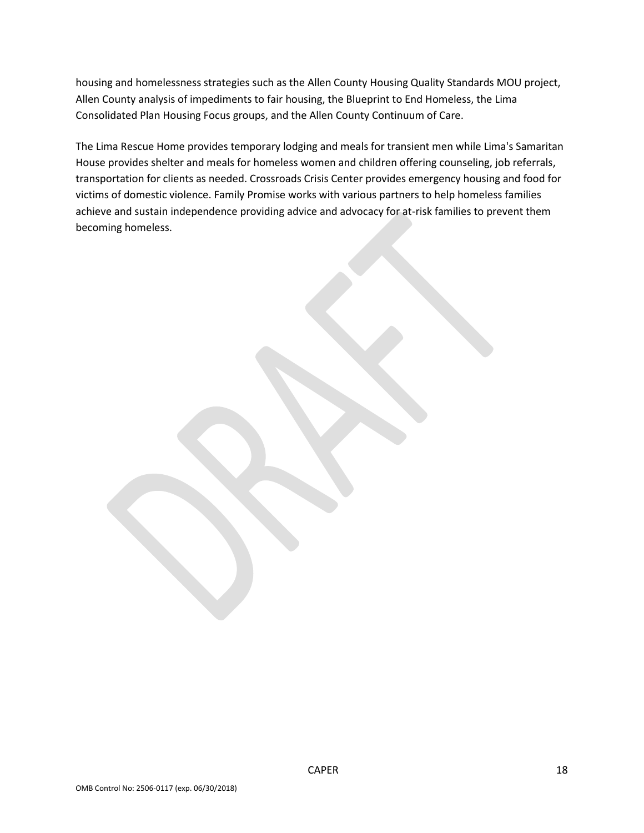housing and homelessness strategies such as the Allen County Housing Quality Standards MOU project, Allen County analysis of impediments to fair housing, the Blueprint to End Homeless, the Lima Consolidated Plan Housing Focus groups, and the Allen County Continuum of Care.

The Lima Rescue Home provides temporary lodging and meals for transient men while Lima's Samaritan House provides shelter and meals for homeless women and children offering counseling, job referrals, transportation for clients as needed. Crossroads Crisis Center provides emergency housing and food for victims of domestic violence. Family Promise works with various partners to help homeless families achieve and sustain independence providing advice and advocacy for at-risk families to prevent them becoming homeless.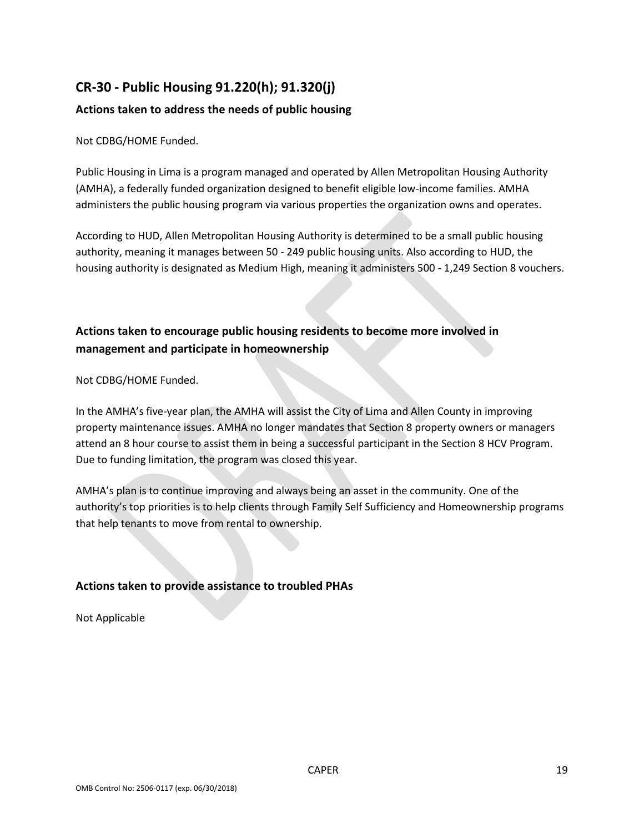# **CR-30 - Public Housing 91.220(h); 91.320(j)**

### **Actions taken to address the needs of public housing**

Not CDBG/HOME Funded.

Public Housing in Lima is a program managed and operated by Allen Metropolitan Housing Authority (AMHA), a federally funded organization designed to benefit eligible low-income families. AMHA administers the public housing program via various properties the organization owns and operates.

According to HUD, Allen Metropolitan Housing Authority is determined to be a small public housing authority, meaning it manages between 50 - 249 public housing units. Also according to HUD, the housing authority is designated as Medium High, meaning it administers 500 - 1,249 Section 8 vouchers.

## **Actions taken to encourage public housing residents to become more involved in management and participate in homeownership**

Not CDBG/HOME Funded.

In the AMHA's five-year plan, the AMHA will assist the City of Lima and Allen County in improving property maintenance issues. AMHA no longer mandates that Section 8 property owners or managers attend an 8 hour course to assist them in being a successful participant in the Section 8 HCV Program. Due to funding limitation, the program was closed this year.

AMHA's plan is to continue improving and always being an asset in the community. One of the authority's top priorities is to help clients through Family Self Sufficiency and Homeownership programs that help tenants to move from rental to ownership.

## **Actions taken to provide assistance to troubled PHAs**

Not Applicable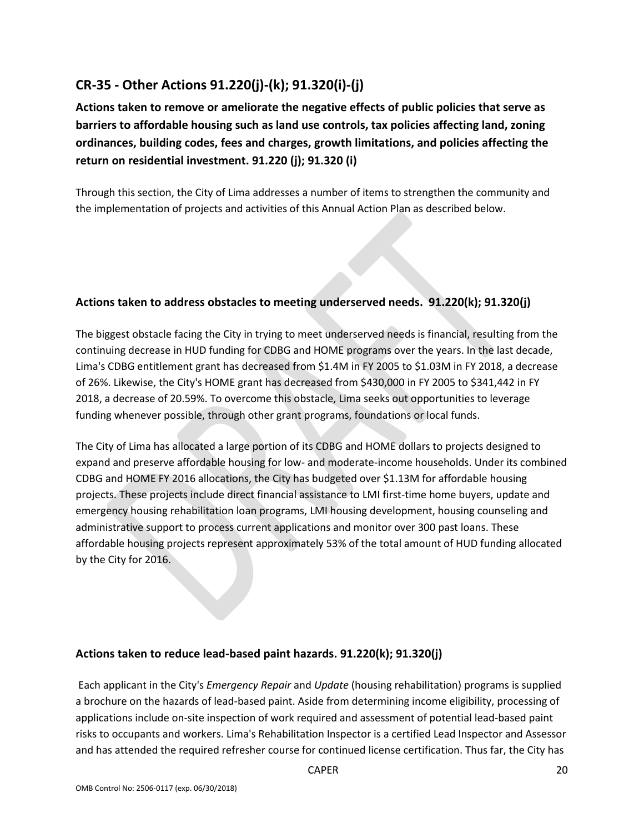# **CR-35 - Other Actions 91.220(j)-(k); 91.320(i)-(j)**

**Actions taken to remove or ameliorate the negative effects of public policies that serve as barriers to affordable housing such as land use controls, tax policies affecting land, zoning ordinances, building codes, fees and charges, growth limitations, and policies affecting the return on residential investment. 91.220 (j); 91.320 (i)**

Through this section, the City of Lima addresses a number of items to strengthen the community and the implementation of projects and activities of this Annual Action Plan as described below.

### **Actions taken to address obstacles to meeting underserved needs. 91.220(k); 91.320(j)**

The biggest obstacle facing the City in trying to meet underserved needs is financial, resulting from the continuing decrease in HUD funding for CDBG and HOME programs over the years. In the last decade, Lima's CDBG entitlement grant has decreased from \$1.4M in FY 2005 to \$1.03M in FY 2018, a decrease of 26%. Likewise, the City's HOME grant has decreased from \$430,000 in FY 2005 to \$341,442 in FY 2018, a decrease of 20.59%. To overcome this obstacle, Lima seeks out opportunities to leverage funding whenever possible, through other grant programs, foundations or local funds.

The City of Lima has allocated a large portion of its CDBG and HOME dollars to projects designed to expand and preserve affordable housing for low- and moderate-income households. Under its combined CDBG and HOME FY 2016 allocations, the City has budgeted over \$1.13M for affordable housing projects. These projects include direct financial assistance to LMI first-time home buyers, update and emergency housing rehabilitation loan programs, LMI housing development, housing counseling and administrative support to process current applications and monitor over 300 past loans. These affordable housing projects represent approximately 53% of the total amount of HUD funding allocated by the City for 2016.

### **Actions taken to reduce lead-based paint hazards. 91.220(k); 91.320(j)**

Each applicant in the City's *Emergency Repair* and *Update* (housing rehabilitation) programs is supplied a brochure on the hazards of lead-based paint. Aside from determining income eligibility, processing of applications include on-site inspection of work required and assessment of potential lead-based paint risks to occupants and workers. Lima's Rehabilitation Inspector is a certified Lead Inspector and Assessor and has attended the required refresher course for continued license certification. Thus far, the City has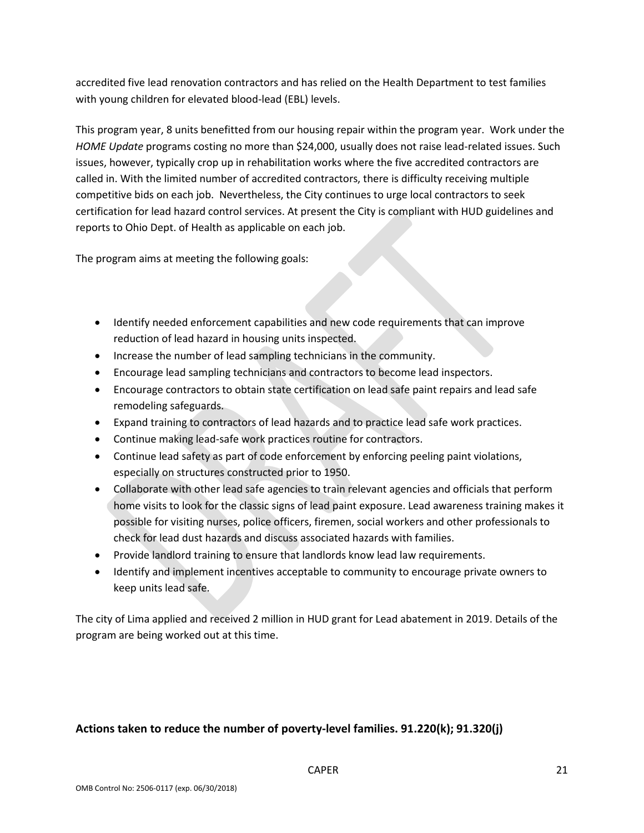accredited five lead renovation contractors and has relied on the Health Department to test families with young children for elevated blood-lead (EBL) levels.

This program year, 8 units benefitted from our housing repair within the program year. Work under the *HOME Update* programs costing no more than \$24,000, usually does not raise lead-related issues. Such issues, however, typically crop up in rehabilitation works where the five accredited contractors are called in. With the limited number of accredited contractors, there is difficulty receiving multiple competitive bids on each job. Nevertheless, the City continues to urge local contractors to seek certification for lead hazard control services. At present the City is compliant with HUD guidelines and reports to Ohio Dept. of Health as applicable on each job.

The program aims at meeting the following goals:

- Identify needed enforcement capabilities and new code requirements that can improve reduction of lead hazard in housing units inspected.
- Increase the number of lead sampling technicians in the community.
- Encourage lead sampling technicians and contractors to become lead inspectors.
- Encourage contractors to obtain state certification on lead safe paint repairs and lead safe remodeling safeguards.
- Expand training to contractors of lead hazards and to practice lead safe work practices.
- Continue making lead-safe work practices routine for contractors.
- Continue lead safety as part of code enforcement by enforcing peeling paint violations, especially on structures constructed prior to 1950.
- Collaborate with other lead safe agencies to train relevant agencies and officials that perform home visits to look for the classic signs of lead paint exposure. Lead awareness training makes it possible for visiting nurses, police officers, firemen, social workers and other professionals to check for lead dust hazards and discuss associated hazards with families.
- Provide landlord training to ensure that landlords know lead law requirements.
- Identify and implement incentives acceptable to community to encourage private owners to keep units lead safe.

The city of Lima applied and received 2 million in HUD grant for Lead abatement in 2019. Details of the program are being worked out at this time.

### **Actions taken to reduce the number of poverty-level families. 91.220(k); 91.320(j)**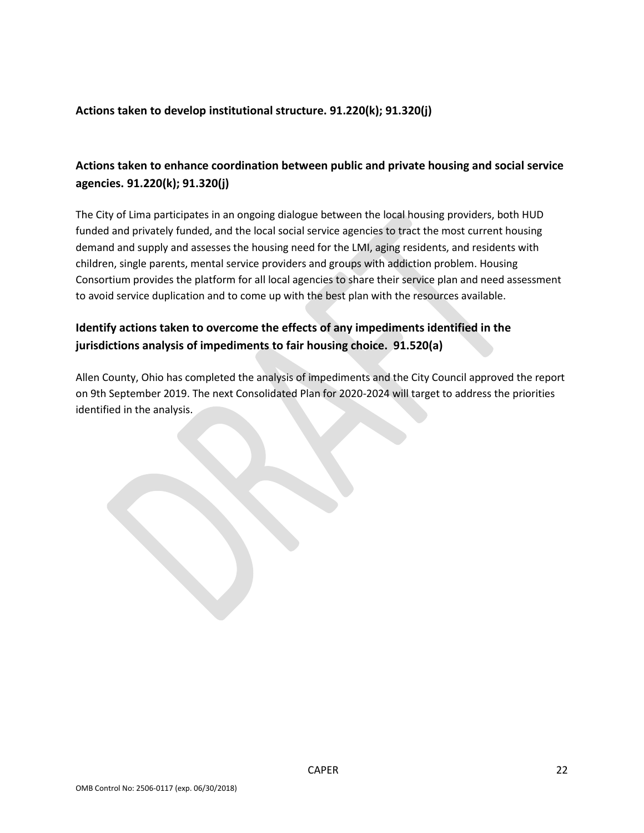### **Actions taken to develop institutional structure. 91.220(k); 91.320(j)**

## **Actions taken to enhance coordination between public and private housing and social service agencies. 91.220(k); 91.320(j)**

The City of Lima participates in an ongoing dialogue between the local housing providers, both HUD funded and privately funded, and the local social service agencies to tract the most current housing demand and supply and assesses the housing need for the LMI, aging residents, and residents with children, single parents, mental service providers and groups with addiction problem. Housing Consortium provides the platform for all local agencies to share their service plan and need assessment to avoid service duplication and to come up with the best plan with the resources available.

## **Identify actions taken to overcome the effects of any impediments identified in the jurisdictions analysis of impediments to fair housing choice. 91.520(a)**

Allen County, Ohio has completed the analysis of impediments and the City Council approved the report on 9th September 2019. The next Consolidated Plan for 2020-2024 will target to address the priorities identified in the analysis.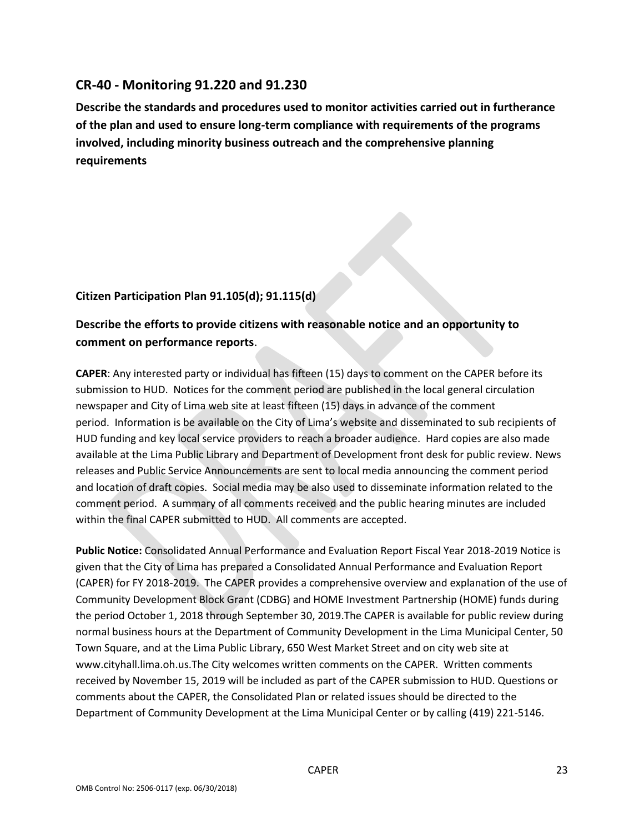## **CR-40 - Monitoring 91.220 and 91.230**

**Describe the standards and procedures used to monitor activities carried out in furtherance of the plan and used to ensure long-term compliance with requirements of the programs involved, including minority business outreach and the comprehensive planning requirements**

## **Citizen Participation Plan 91.105(d); 91.115(d)**

## **Describe the efforts to provide citizens with reasonable notice and an opportunity to comment on performance reports**.

**CAPER**: Any interested party or individual has fifteen (15) days to comment on the CAPER before its submission to HUD. Notices for the comment period are published in the local general circulation newspaper and City of Lima web site at least fifteen (15) days in advance of the comment period. Information is be available on the City of Lima's website and disseminated to sub recipients of HUD funding and key local service providers to reach a broader audience. Hard copies are also made available at the Lima Public Library and Department of Development front desk for public review. News releases and Public Service Announcements are sent to local media announcing the comment period and location of draft copies. Social media may be also used to disseminate information related to the comment period. A summary of all comments received and the public hearing minutes are included within the final CAPER submitted to HUD. All comments are accepted.

**Public Notice:** Consolidated Annual Performance and Evaluation Report Fiscal Year 2018-2019 Notice is given that the City of Lima has prepared a Consolidated Annual Performance and Evaluation Report (CAPER) for FY 2018-2019. The CAPER provides a comprehensive overview and explanation of the use of Community Development Block Grant (CDBG) and HOME Investment Partnership (HOME) funds during the period October 1, 2018 through September 30, 2019.The CAPER is available for public review during normal business hours at the Department of Community Development in the Lima Municipal Center, 50 Town Square, and at the Lima Public Library, 650 West Market Street and on city web site at www.cityhall.lima.oh.us.The City welcomes written comments on the CAPER. Written comments received by November 15, 2019 will be included as part of the CAPER submission to HUD. Questions or comments about the CAPER, the Consolidated Plan or related issues should be directed to the Department of Community Development at the Lima Municipal Center or by calling (419) 221-5146.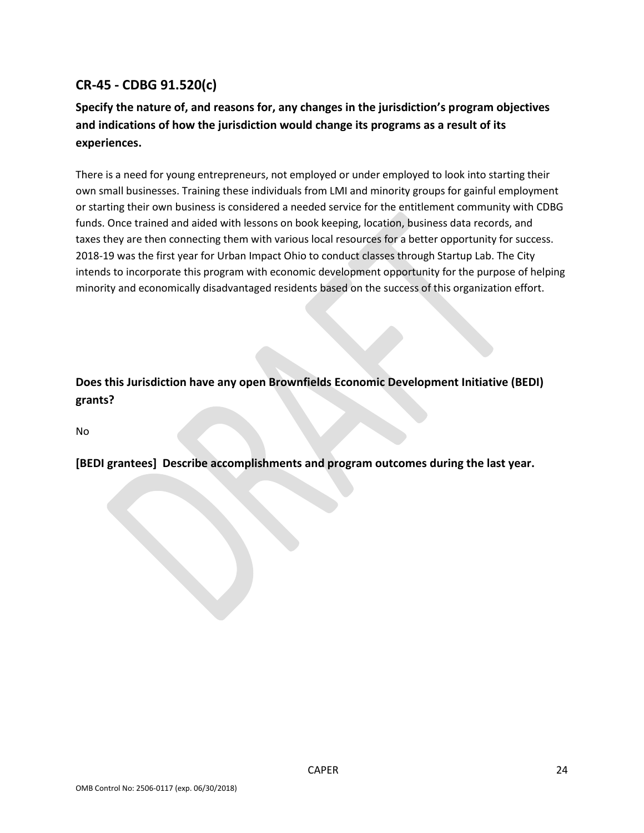# **CR-45 - CDBG 91.520(c)**

# **Specify the nature of, and reasons for, any changes in the jurisdiction's program objectives and indications of how the jurisdiction would change its programs as a result of its experiences.**

There is a need for young entrepreneurs, not employed or under employed to look into starting their own small businesses. Training these individuals from LMI and minority groups for gainful employment or starting their own business is considered a needed service for the entitlement community with CDBG funds. Once trained and aided with lessons on book keeping, location, business data records, and taxes they are then connecting them with various local resources for a better opportunity for success. 2018-19 was the first year for Urban Impact Ohio to conduct classes through Startup Lab. The City intends to incorporate this program with economic development opportunity for the purpose of helping minority and economically disadvantaged residents based on the success of this organization effort.

**Does this Jurisdiction have any open Brownfields Economic Development Initiative (BEDI) grants?**

No

**[BEDI grantees] Describe accomplishments and program outcomes during the last year.**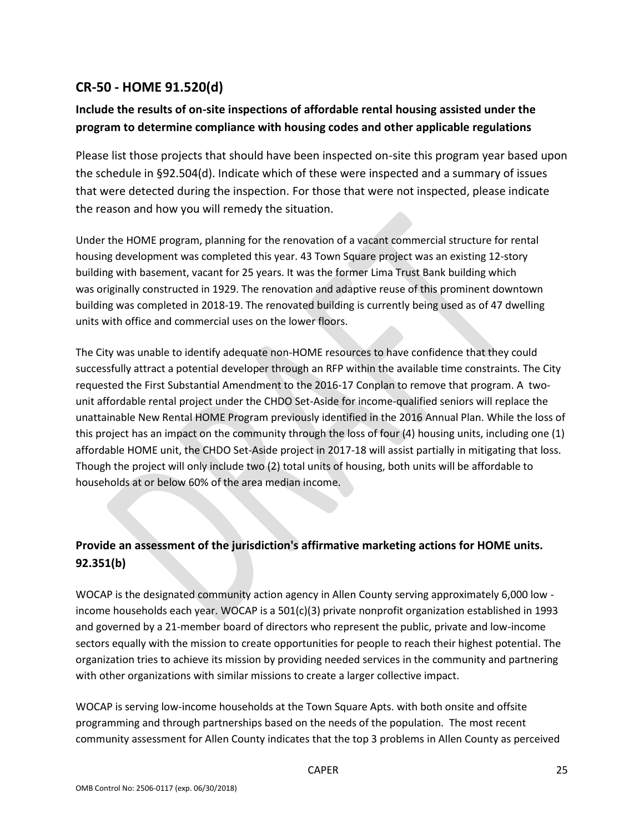# **CR-50 - HOME 91.520(d)**

# **Include the results of on-site inspections of affordable rental housing assisted under the program to determine compliance with housing codes and other applicable regulations**

Please list those projects that should have been inspected on-site this program year based upon the schedule in §92.504(d). Indicate which of these were inspected and a summary of issues that were detected during the inspection. For those that were not inspected, please indicate the reason and how you will remedy the situation.

Under the HOME program, planning for the renovation of a vacant commercial structure for rental housing development was completed this year. 43 Town Square project was an existing 12-story building with basement, vacant for 25 years. It was the former Lima Trust Bank building which was originally constructed in 1929. The renovation and adaptive reuse of this prominent downtown building was completed in 2018-19. The renovated building is currently being used as of 47 dwelling units with office and commercial uses on the lower floors.

The City was unable to identify adequate non-HOME resources to have confidence that they could successfully attract a potential developer through an RFP within the available time constraints. The City requested the First Substantial Amendment to the 2016-17 Conplan to remove that program. A twounit affordable rental project under the CHDO Set-Aside for income-qualified seniors will replace the unattainable New Rental HOME Program previously identified in the 2016 Annual Plan. While the loss of this project has an impact on the community through the loss of four (4) housing units, including one (1) affordable HOME unit, the CHDO Set-Aside project in 2017-18 will assist partially in mitigating that loss. Though the project will only include two (2) total units of housing, both units will be affordable to households at or below 60% of the area median income.

# **Provide an assessment of the jurisdiction's affirmative marketing actions for HOME units. 92.351(b)**

WOCAP is the designated community action agency in Allen County serving approximately 6,000 low income households each year. WOCAP is a 501(c)(3) private nonprofit organization established in 1993 and governed by a 21-member board of directors who represent the public, private and low-income sectors equally with the mission to create opportunities for people to reach their highest potential. The organization tries to achieve its mission by providing needed services in the community and partnering with other organizations with similar missions to create a larger collective impact.

WOCAP is serving low-income households at the Town Square Apts. with both onsite and offsite programming and through partnerships based on the needs of the population. The most recent community assessment for Allen County indicates that the top 3 problems in Allen County as perceived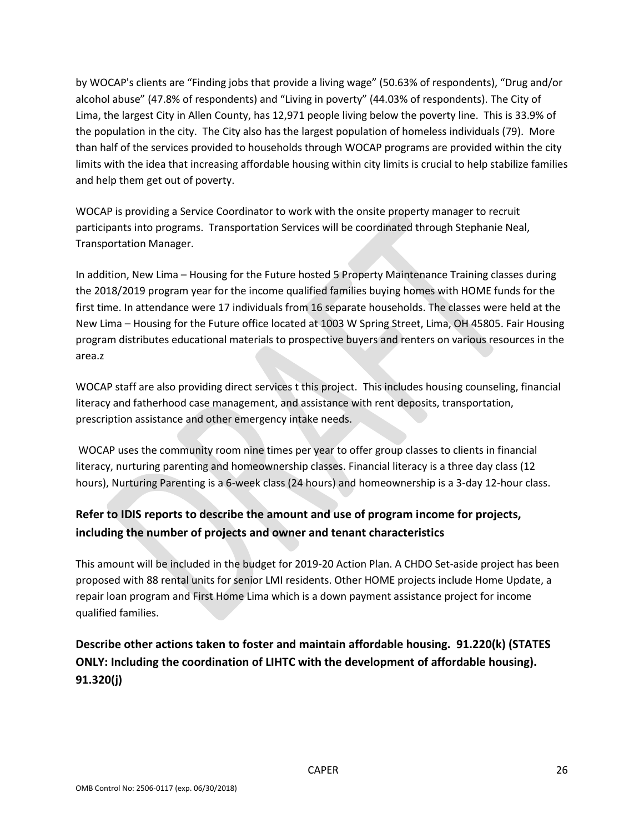by WOCAP's clients are "Finding jobs that provide a living wage" (50.63% of respondents), "Drug and/or alcohol abuse" (47.8% of respondents) and "Living in poverty" (44.03% of respondents). The City of Lima, the largest City in Allen County, has 12,971 people living below the poverty line. This is 33.9% of the population in the city. The City also has the largest population of homeless individuals (79). More than half of the services provided to households through WOCAP programs are provided within the city limits with the idea that increasing affordable housing within city limits is crucial to help stabilize families and help them get out of poverty.

WOCAP is providing a Service Coordinator to work with the onsite property manager to recruit participants into programs. Transportation Services will be coordinated through Stephanie Neal, Transportation Manager.

In addition, New Lima – Housing for the Future hosted 5 Property Maintenance Training classes during the 2018/2019 program year for the income qualified families buying homes with HOME funds for the first time. In attendance were 17 individuals from 16 separate households. The classes were held at the New Lima – Housing for the Future office located at 1003 W Spring Street, Lima, OH 45805. Fair Housing program distributes educational materials to prospective buyers and renters on various resources in the area.z

WOCAP staff are also providing direct services t this project. This includes housing counseling, financial literacy and fatherhood case management, and assistance with rent deposits, transportation, prescription assistance and other emergency intake needs.

WOCAP uses the community room nine times per year to offer group classes to clients in financial literacy, nurturing parenting and homeownership classes. Financial literacy is a three day class (12 hours), Nurturing Parenting is a 6-week class (24 hours) and homeownership is a 3-day 12-hour class.

# **Refer to IDIS reports to describe the amount and use of program income for projects, including the number of projects and owner and tenant characteristics**

This amount will be included in the budget for 2019-20 Action Plan. A CHDO Set-aside project has been proposed with 88 rental units for senior LMI residents. Other HOME projects include Home Update, a repair loan program and First Home Lima which is a down payment assistance project for income qualified families.

**Describe other actions taken to foster and maintain affordable housing. 91.220(k) (STATES ONLY: Including the coordination of LIHTC with the development of affordable housing). 91.320(j)**